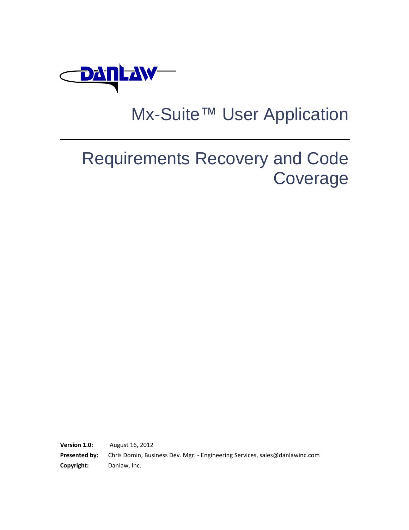

# Mx-Suite™ User Application

# Requirements Recovery and Code Coverage

**Version 1.0:** August 16, 2012 **Presented by:** Chris Domin, Business Dev. Mgr. - Engineering Services, sales@danlawinc.com **Copyright:** Danlaw, Inc.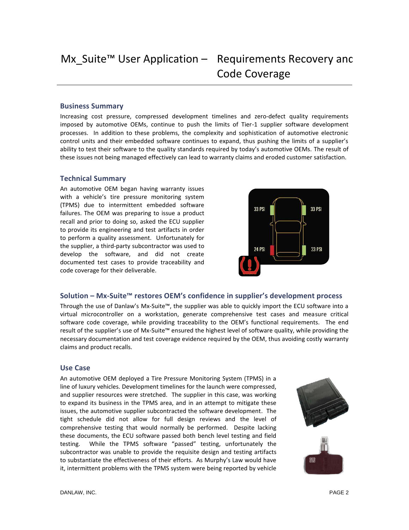### **Business Summary**

Increasing cost pressure, compressed development timelines and zero-defect quality requirements imposed by automotive OEMs, continue to push the limits of Tier-1 supplier software development processes. In addition to these problems, the complexity and sophistication of automotive electronic control units and their embedded software continues to expand, thus pushing the limits of a supplier's ability to test their software to the quality standards required by today's automotive OEMs. The result of these issues not being managed effectively can lead to warranty claims and eroded customer satisfaction.

## **Technical Summary**

An automotive OEM began having warranty issues with a vehicle's tire pressure monitoring system (TPMS) due to intermittent embedded software failures. The OEM was preparing to issue a product recall and prior to doing so, asked the ECU supplier to provide its engineering and test artifacts in order to perform a quality assessment. Unfortunately for the supplier, a third-party subcontractor was used to develop the software, and did not create documented test cases to provide traceability and code coverage for their deliverable.



## **Solution – Mx-Suite™ restores OEM's confidence in supplier's development process**

Through the use of Danlaw's Mx-Suite™, the supplier was able to quickly import the ECU software into a virtual microcontroller on a workstation, generate comprehensive test cases and measure critical software code coverage, while providing traceability to the OEM's functional requirements. The end result of the supplier's use of Mx-Suite™ ensured the highest level of software quality, while providing the necessary documentation and test coverage evidence required by the OEM, thus avoiding costly warranty claims and product recalls.

#### **Use Case**

An automotive OEM deployed a Tire Pressure Monitoring System (TPMS) in a line of luxury vehicles. Development timelines for the launch were compressed, and supplier resources were stretched. The supplier in this case, was working to expand its business in the TPMS area, and in an attempt to mitigate these issues, the automotive supplier subcontracted the software development. The tight schedule did not allow for full design reviews and the level of comprehensive testing that would normally be performed. Despite lacking these documents, the ECU software passed both bench level testing and field testing. While the TPMS software "passed" testing, unfortunately the subcontractor was unable to provide the requisite design and testing artifacts to substantiate the effectiveness of their efforts. As Murphy's Law would have it, intermittent problems with the TPMS system were being reported by vehicle

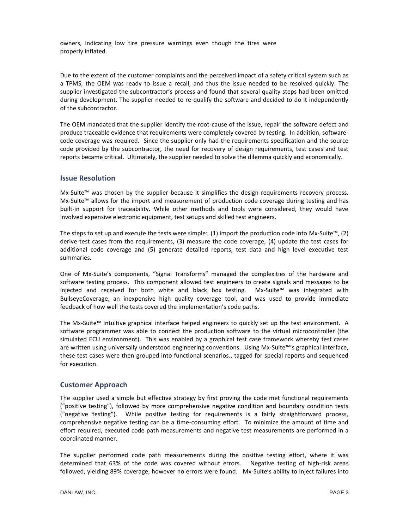owners, indicating low tire pressure warnings even though the tires were properly inflated.

Due to the extent of the customer complaints and the perceived impact of a safety critical system such as a TPMS, the OEM was ready to issue a recall, and thus the issue needed to be resolved quickly. The supplier investigated the subcontractor's process and found that several quality steps had been omitted during development. The supplier needed to re-qualify the software and decided to do it independently of the subcontractor.

The OEM mandated that the supplier identify the root-cause of the issue, repair the software defect and produce traceable evidence that requirements were completely covered by testing. In addition, softwarecode coverage was required. Since the supplier only had the requirements specification and the source code provided by the subcontractor, the need for recovery of design requirements, test cases and test reports became critical. Ultimately, the supplier needed to solve the dilemma quickly and economically.

### **Issue Resolution**

Mx-Suite™ was chosen by the supplier because it simplifies the design requirements recovery process. Mx-Suite™ allows for the import and measurement of production code coverage during testing and has built-in support for traceability. While other methods and tools were considered, they would have involved expensive electronic equipment, test setups and skilled test engineers.

The steps to set up and execute the tests were simple: (1) import the production code into Mx-Suite™, (2) derive test cases from the requirements, (3) measure the code coverage, (4) update the test cases for additional code coverage and (5) generate detailed reports, test data and high level executive test summaries.

One of Mx-Suite's components, "Signal Transforms" managed the complexities of the hardware and software testing process. This component allowed test engineers to create signals and messages to be injected and received for both white and black box testing. Mx-Suite™ was integrated with BullseyeCoverage, an inexpensive high quality coverage tool, and was used to provide immediate feedback of how well the tests covered the implementation's code paths.

The Mx-Suite™ intuitive graphical interface helped engineers to quickly set up the test environment. A software programmer was able to connect the production software to the virtual microcontroller (the simulated ECU environment). This was enabled by a graphical test case framework whereby test cases are written using universally understood engineering conventions. Using Mx-Suite™'s graphical interface, these test cases were then grouped into functional scenarios., tagged for special reports and sequenced for execution.

## **Customer Approach**

The supplier used a simple but effective strategy by first proving the code met functional requirements ("positive testing"), followed by more comprehensive negative condition and boundary condition tests ("negative testing"). While positive testing for requirements is a fairly straightforward process, comprehensive negative testing can be a time-consuming effort. To minimize the amount of time and effort required, executed code path measurements and negative test measurements are performed in a coordinated manner.

The supplier performed code path measurements during the positive testing effort, where it was determined that 63% of the code was covered without errors. Negative testing of high-risk areas followed, yielding 89% coverage, however no errors were found. Mx-Suite's ability to inject failures into